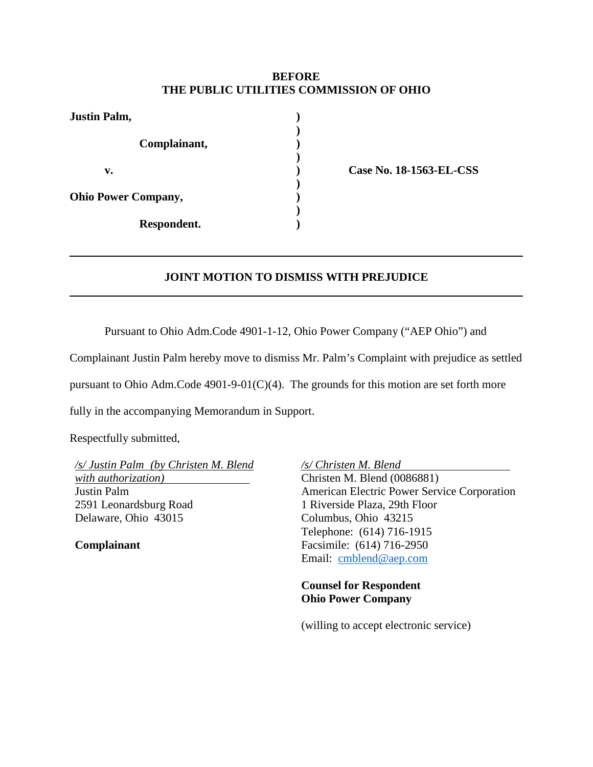#### **BEFORE THE PUBLIC UTILITIES COMMISSION OF OHIO**

| <b>Justin Palm,</b>        |  |
|----------------------------|--|
| Complainant,               |  |
| v.                         |  |
| <b>Ohio Power Company,</b> |  |
| Respondent.                |  |

**v. ) Case No. 18-1563-EL-CSS**

## **JOINT MOTION TO DISMISS WITH PREJUDICE**

Pursuant to Ohio Adm.Code 4901-1-12, Ohio Power Company ("AEP Ohio") and

Complainant Justin Palm hereby move to dismiss Mr. Palm's Complaint with prejudice as settled

pursuant to Ohio Adm.Code 4901-9-01(C)(4). The grounds for this motion are set forth more

fully in the accompanying Memorandum in Support.

Respectfully submitted,

*/s/ Justin Palm (by Christen M. Blend with authorization)* Justin Palm 2591 Leonardsburg Road Delaware, Ohio 43015

**Complainant**

*/s/ Christen M. Blend* Christen M. Blend (0086881)

American Electric Power Service Corporation 1 Riverside Plaza, 29th Floor Columbus, Ohio 43215 Telephone: (614) 716-1915 Facsimile: (614) 716-2950 Email: [cmblend@aep.com](mailto:cmblend@aep.com)

**Counsel for Respondent Ohio Power Company**

(willing to accept electronic service)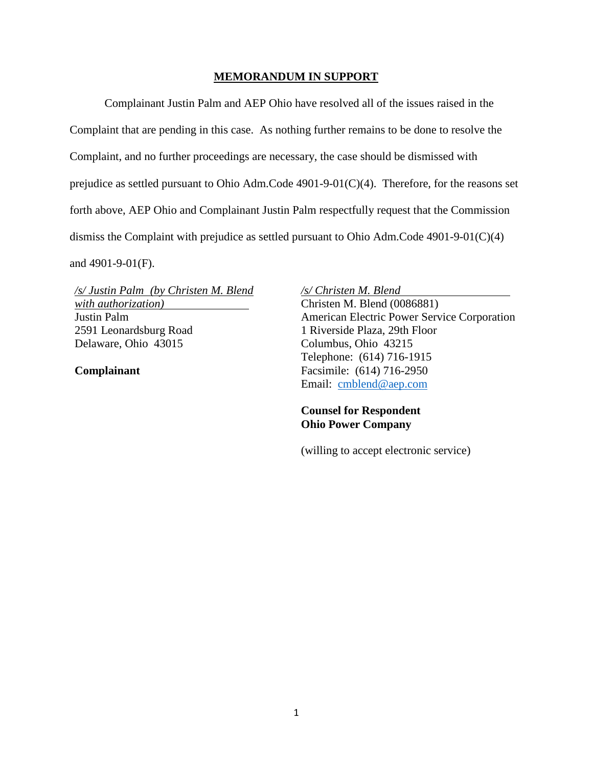#### **MEMORANDUM IN SUPPORT**

Complainant Justin Palm and AEP Ohio have resolved all of the issues raised in the Complaint that are pending in this case. As nothing further remains to be done to resolve the Complaint, and no further proceedings are necessary, the case should be dismissed with prejudice as settled pursuant to Ohio Adm.Code 4901-9-01(C)(4). Therefore, for the reasons set forth above, AEP Ohio and Complainant Justin Palm respectfully request that the Commission dismiss the Complaint with prejudice as settled pursuant to Ohio Adm.Code 4901-9-01(C)(4) and 4901-9-01(F).

*/s/ Justin Palm (by Christen M. Blend with authorization)* Justin Palm 2591 Leonardsburg Road Delaware, Ohio 43015

**Complainant**

*/s/ Christen M. Blend* Christen M. Blend (0086881) American Electric Power Service Corporation 1 Riverside Plaza, 29th Floor

Columbus, Ohio 43215 Telephone: (614) 716-1915 Facsimile: (614) 716-2950 Email: [cmblend@aep.com](mailto:cmblend@aep.com)

### **Counsel for Respondent Ohio Power Company**

(willing to accept electronic service)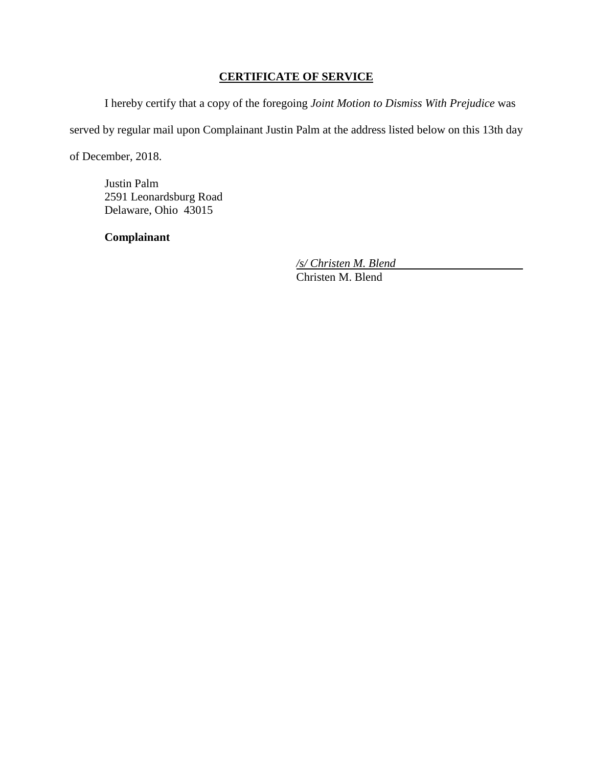# **CERTIFICATE OF SERVICE**

I hereby certify that a copy of the foregoing *Joint Motion to Dismiss With Prejudice* was

served by regular mail upon Complainant Justin Palm at the address listed below on this 13th day

of December, 2018.

Justin Palm 2591 Leonardsburg Road Delaware, Ohio 43015

**Complainant**

*/s/ Christen M. Blend* Christen M. Blend